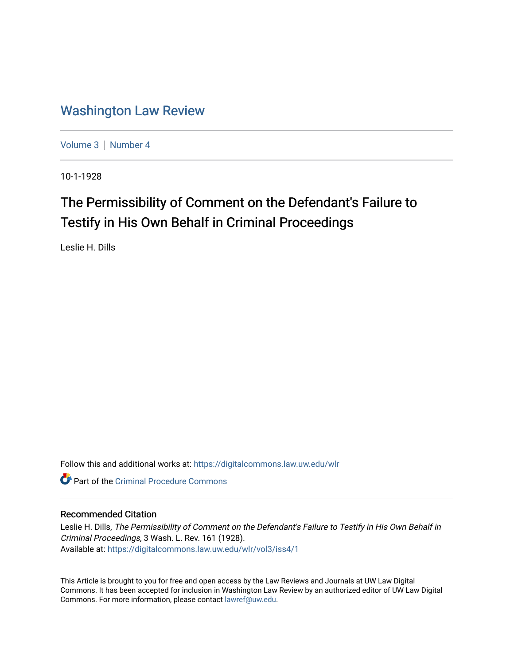### [Washington Law Review](https://digitalcommons.law.uw.edu/wlr)

[Volume 3](https://digitalcommons.law.uw.edu/wlr/vol3) | [Number 4](https://digitalcommons.law.uw.edu/wlr/vol3/iss4)

10-1-1928

## The Permissibility of Comment on the Defendant's Failure to Testify in His Own Behalf in Criminal Proceedings

Leslie H. Dills

Follow this and additional works at: [https://digitalcommons.law.uw.edu/wlr](https://digitalcommons.law.uw.edu/wlr?utm_source=digitalcommons.law.uw.edu%2Fwlr%2Fvol3%2Fiss4%2F1&utm_medium=PDF&utm_campaign=PDFCoverPages)

**C** Part of the Criminal Procedure Commons

#### Recommended Citation

Leslie H. Dills, The Permissibility of Comment on the Defendant's Failure to Testify in His Own Behalf in Criminal Proceedings, 3 Wash. L. Rev. 161 (1928). Available at: [https://digitalcommons.law.uw.edu/wlr/vol3/iss4/1](https://digitalcommons.law.uw.edu/wlr/vol3/iss4/1?utm_source=digitalcommons.law.uw.edu%2Fwlr%2Fvol3%2Fiss4%2F1&utm_medium=PDF&utm_campaign=PDFCoverPages)

This Article is brought to you for free and open access by the Law Reviews and Journals at UW Law Digital Commons. It has been accepted for inclusion in Washington Law Review by an authorized editor of UW Law Digital Commons. For more information, please contact [lawref@uw.edu](mailto:lawref@uw.edu).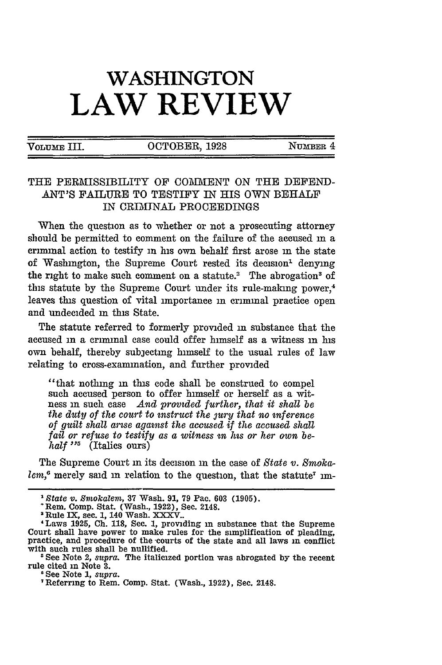# **WASHINGTON LAW REVIEW**

VOLUME III. COTOBER, 1928 NUMBER 4

#### THE PERMISSIBILITY OF COMMENT ON THE DEFEND-ANT'S FAILURE TO TESTIFY IN HIS OWN BEHALF **IN** CRIMINAL PROCEEDINGS

When the question as to whether or not a prosecuting attorney should be permitted to comment on the failure of the accused in a Criminal action to testify in his own behalf first arose in the state of Washington, the Supreme Court rested its decision<sup>1</sup> denying the right to make such comment on a statute.<sup>2</sup> The abrogation<sup>3</sup> of this statute by the Supreme Court under its rule-making power,<sup>4</sup> leaves this question of vital importance **in** criminal practice open and undecided in this State.

The statute referred to formerly provided in substance that the accused in a erininal case could offer himself as a witness in his own behalf, thereby subjecting himself to the usual rules of law relating to cross-examination, and further provided

"that nothing **in** this code shall be construed to compel such accused person to offer himself or herself as a witness in such case *And promded further, that it shall be the duty of the court to nstruct the jury that no inference of guilt shall arise against the accused if the accused shall* fail or refuse to testify as a witness in his or her own be*half* "<sup>5</sup> (Italics ours)

The Supreme Court in its decision in the case of *State v. Smoka*lem,<sup>6</sup> merely said in relation to the question, that the statute<sup>7</sup> im-

*State v. Smokalem,* 37 Wash. 91, 79 Pac. **603** (1905).

Rem. Comp. Stat. (Wash., 1922), Sec. 2148.

<sup>2</sup>Rule IX, sec. 1, 140 Wash. XXXV.. 4 Laws **1925, Ch.** 118, Sec. 1, providing **in** substance that the Supreme Court shall have power to make rules for the simplification of pleading, practice, and procedure of the -courts of the state and all laws in conflict with such rules shall be nullified.

<sup>&#</sup>x27;See Note 2, *supra.* The italicized portion was abrogated by the recent rule cited in Note **3.**

<sup>&#</sup>x27;See Note **1,** *supra.*

Referring to Rem. Comp. Stat. (Wash., 1922), Sec. 2148.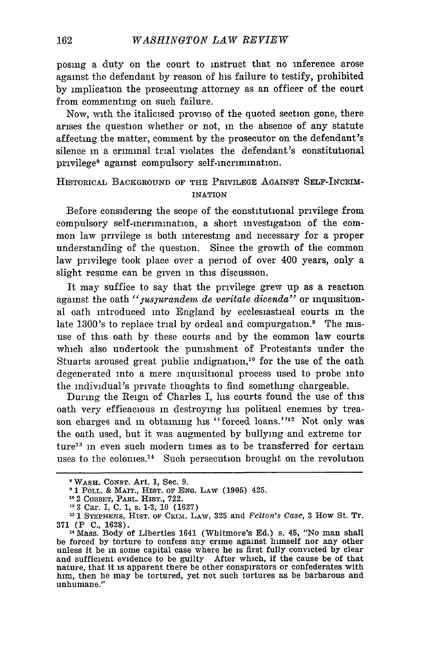posing a duty on the court to instruct that no inference arose against the defendant by reason of his failure to testify, prohibited by implication the prosecuting attorney as an officer of the court from commenting on such failure.

Now, with the italicised proviso of the quoted section gone, there arises the question whether or not, in the absence of any statute affecting the matter, comment by the prosecutor on the defendant's silence in a criminal trial violates the defendant's constitutional privilege<sup>8</sup> against compulsory self-incrimination.

#### HISTORICAL BACKGROUND OF THE PRIVILEGE AGAINST SELF-INCRIM-INATION

Before considering the scope of the constitutional privilege from compulsory self-incrimination, a short investigation of the common law privilege is both interesting and necessary for a proper understanding of the question. Since the growth of the common law privilege took place over a period of over 400 years, only a slight resume can be given in this discussion.

It may suffice to say that the privilege grew up as a reaction against the oath "*yusyurandem de veritate dicenda*" or inquisitional oath introduced into England by ecclesiastical courts in the late 1300's to replace trial by ordeal and compurgation.<sup>9</sup> The misuse of this oath by these courts and by the common law courts which also undertook the punishment of Protestants under the Stuarts aroused great public indignation,<sup>10</sup> for the use of the oath degenerated into a mere inquisitional process used to probe into the individual's private thoughts to find something chargeable.

During the Reign of Charles I, his courts found the use of this oath very efficacious in destroying his political enemies by treason charges and in obtaining his "forced loans."<sup>12</sup> Not only was the oath used, but it was augmented by bullying and extreme tor ture<sup>13</sup> in even such modern times as to be transferred for certain uses to the colonies.<sup>14</sup> Such persecution brought on the revolution

<sup>8</sup> WASH. CONST. Art. 1, Sec. 9.

**<sup>9</sup>**1 POLL. & MAIT., HIST. OF ENG. LAW (1905) 425. **<sup>11</sup>**2 COBBET, PARL. HIST., 722.

<sup>&</sup>quot; **3** Car. I, **C.** 1, s. 1-3, 10 (1627)

<sup>&</sup>lt;sup>13</sup> 1 STEPHENS, HIST. OF CRIM. LAW, 325 and *Felton's Case*, 3 How St. Tr. **371** (P **C.,** 1628).

<sup>14</sup> Mass. Body of Liberties 1641 (Whitmore's Ed.) s. 45, "No man shall be forced by torture to confess any crime against himself nor any other unless it be in some capital case where he is first fully convicted by clear and sufficient evidence to be guilty After which, if the cause be of that nature, that it is apparent there be other conspirators or confederates with him, then he may be tortured, yet not such tortures as be barbarous and unhumane."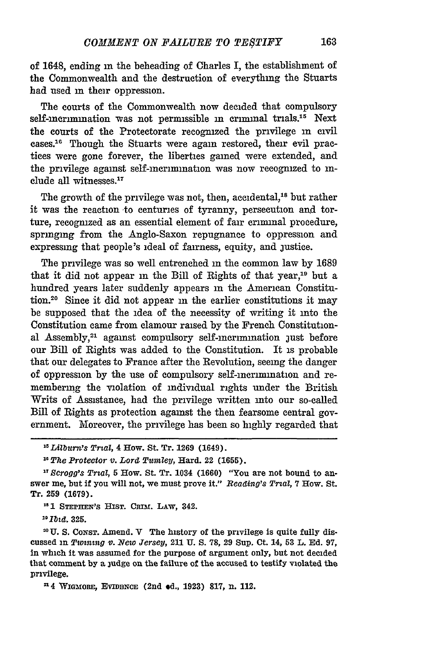of 1648, ending **in** the beheading of Charles I, the establishment of the Commonwealth and the destruction of everything the Stuarts had used **in** their oppression.

The courts of the Commonwealth now decided that compulsory self-incrimination was not permissible **in** criminal trials."5 Next the courts of the Protectorate recognized the privilege in civil cases.<sup>16</sup> Though the Stuarts were again restored, their evil practices were gone forever, the liberties gained were extended, and the privilege against self-incrimination was now recognized to include all witnesses.<sup>17</sup>

The growth of the privilege was not, then, accidental,<sup>18</sup> but rather it was the reaction to centuries of tyranny, persecution and torture, recogmzed as an essential element of fair criminal procedure, springing from the Anglo-Saxon repugnance to oppression and expressing that people's ideal of fairness, equity, and justice.

The privilege was so well entrenched **in** the common law by 1689 that it did not appear in the Bill of Rights of that year,19 but a hundred years later suddenly appears in the American Constitution.20 Since it did not appear **in** the earlier constitutions it may be supposed that the idea of the necessity of writing it into the Constitution came from clamour raised by the French Constitutional Assembly,<sup>21</sup> against compulsory self-incrimination just before our Bill of Rights was added to the Constitution. It is probable that our delegates to France after the Revolution, seeing the danger of oppression by the use of compulsory self-incrimination and remembering the violation of individual rights under the British Writs of Assistance, had the privilege written into our so-called Bill of Rights as protection against the then fearsome central government. Moreover, the privilege has been so highly regarded that

*'Lilburi's Trial,* 4 How. St. Tr. **1269** (1649).

The *Protector v. Lord Tumley,* Hard. 22 (1655).

*17 Bcrogg's Trial,* **5** How. St. Tr. 1034 (1660) "You are not bound to answer me, but if you will not, we must prove it." *Reading's Trial,* 7 How. St. Tr. **259 (1679).**

<sup>18</sup> 1 STEPHEN'S HIST. CRIM. LAW, 342.

**:T btd. 325.**

**o U. S. CoNsT.** Amend. V The history of the privilege is quite fully discussed in *Twining v. New Jersey,* 211 **U. S. 78, 29** Sup. Ct. 14, **53** L. **Ed. 97,** in which it was assumed for the purpose of argument only, but not decided that comment by a judge on the failure of the accused to testify violated the privilege.

<sup>n</sup> 4 WIGMORE, EVIDENCE (2nd od., 1923) 817, n. 112.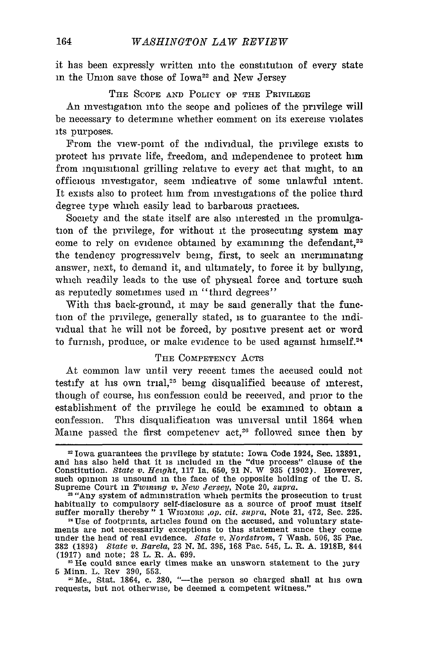it has been expressly written into the constitution of every state in the Union save those of Iowa<sup>22</sup> and New Jersey

#### THE SCOPE AND POLICY OF THE PRIVILEGE

**An** investigation into the scope and policies of the privilege will be necessary to determine whether comment on its exercise violates its purposes.

From the view-point of the individual, the privilege exists to protect his private life, freedom, and independence to protect him from inquisitional grilling relative to every act that might, to an officious investigator, seem indicative of some unlawful intent. It exists also to protect him from investigations of the police third degree type which easily lead to barbarous practices.

Society and the state itself are also interested in the promulgation of the privilege, for without it the prosecuting system may come to rely on evidence obtained by examining the defendant,<sup>23</sup> the tendency progressively being, first, to seek an incriminating answer, next, to demand it, and ultimately, to force it by bullying, which readily leads to the use of physical force and torture such as reputedly sometimes used in "third degrees"

With this back-ground, it may be said generally that the function of the privilege, generally stated, is to guarantee to the individual that he will not be forced, by positive present act or word to furnish, produce, or make evidence to be used against himself.<sup>24</sup>

#### THE COMPETENCY ACTS

At common law until very recent times the accused could not testify at his own trial,<sup>25</sup> being disqualified because of interest, though of course, his confession could be received, and prior to the establishment of the privilege he could be examined to obtain a confession. This disqualification was universal until 1864 when Maine passed the first competency  $act<sub>1</sub><sup>26</sup>$  followed since then by

<sup>=</sup> Iowa guarantees the privilege **by** statute: Iowa Code 1924, Sec. 13891, and has also held that it is included in the "due process" clause of the Constitution. *State v. Height,* **117** Ia. 650, 91 N. W 935 (1902). However, such opinion is unsound in the face of the opposite holding of the U. S. Supreme Court in *Twining v. New Jersey,* Note 20, *supra.*

<sup>&</sup>lt;sup>23</sup> "Any system of administration which permits the prosecution to trust habitually to compulsory self-disclosure as a source of proof must itself suffer morally thereby" **1** WIGMAORE *,op. cit. supra,* Note 21, 472, Sec. 225.

<sup>&</sup>lt;sup>24</sup> Use of footprints, articles found on the accused, and voluntary statements are not necessarily exceptions to this statement since they come ments are not necessarily exceptions to this statement since they come under the head of real evidence. *State v. Nordstrom,* 7 Wash. 506, **35** Pac. 382 (1893) *State v. Barela,* 23 N. M. 395, **168** Pac. 545, L. R. A. 1918B, 844 (1917) and note; 28 L. R. A. 699.

<sup>&</sup>lt;sup>25</sup> He could since early times make an unsworn statement to the jury

<sup>5</sup> Minn. L. Rev 390, 553.<br><sup>25</sup> Me., Stat. 1864, c. 280, "--the person so charged shall at his own requests, but not otherwise, be deemed a competent witness."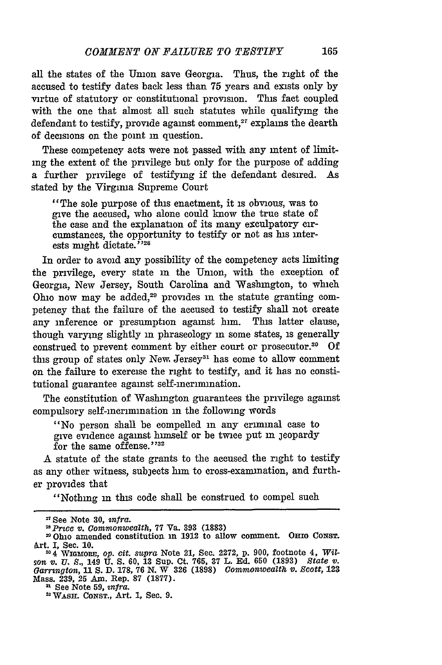all the states of the Union save Georgia. Thus, the right of the accused to testify dates back less than 75 years and exists only by virtue of statutory or constitutional provision. This fact coupled with the one that almost all such statutes while qualifying the defendant to testify, provide against comment.<sup>27</sup> explains the dearth of decisions on the point **in** question.

These competency acts were not passed with any intent of limitmg the extent of the privilege but only for the purpose of adding a further privilege of testifying if the defendant desired. As stated by the Virginia Supreme Court

"The sole purpose of this enactment, it is obvious, was to give the accused, who alone could know the true state of the case and the explanation of its many exculpatory circumstances, the opportunity to testify or not as bis interests might dictate.<sup>528</sup>

In order to avoid any possibility of the competency acts limiting the privilege, every state in the Union, with the exception of Georgia, New Jersey, South Carolina and Washington, to which Ohio now may be added,<sup>29</sup> provides in the statute granting competency that the failure of the accused to testify shall not create any inference or presumption against him. This latter clause, though varying slightly in phraseology in some states, is generally construed to prevent comment by either court or prosecutor.<sup>30</sup> Of this group of states only New. Jersey<sup>31</sup> has come to allow comment on the failure to exercise the right to testify, and it has no constitutional guarantee against self-incrimination.

The constitution of Washington guarantees the privilege against compulsory self-incrimination **in** the following words

"No person shall be compelled in any criminal case to give evidence against himself or be twice put in jeopardy for the same offense."32

A statute of the state grants to the accused the right to testify as any other witness, subjects him to cross-examination, and further provides that

"Nothing in this code shall be construed to compel such

<sup>&</sup>quot;See Note **30,** *infra.*

*<sup>&</sup>quot;sPrice 'v. Commonwealth,* 77 Va. **393 (1883)**

<sup>&</sup>quot;Ohio amended constitution in **1912** to allow comment. Orno CoNST. Art. I, Sec. 10.<br><sup>20</sup>4 WIGMORE, *op. cit. supra* Note 21, Sec. 2272, p. 900, footnote 4, *Wil-*

*son v. U. S.,* 149 **U. S. 60, 13** Sup. Ct. **765, 37** L. **Ed. 650 (1893)** *State v. Garrngton,* 11 **S.** D. **178, 76 N.** W **326 (1898)** *Commonwealth v. Scott,* <sup>123</sup> Mass. 239, 25 Am. Rep. **87 (1877).**

<sup>&</sup>lt;sup>32</sup> WASH. CONST., Art. 1, Sec. 9.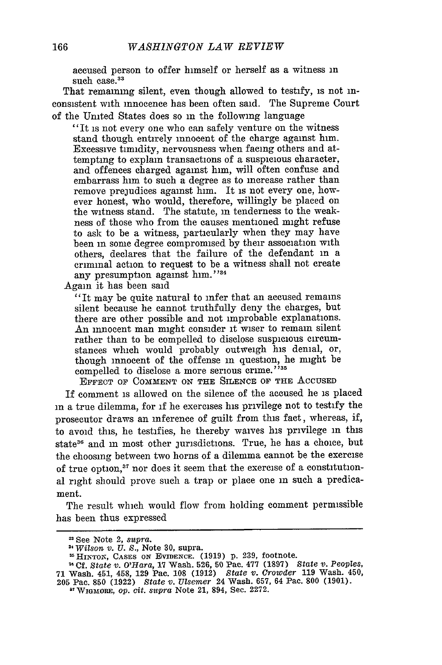accused person to offer himself or herself as a witness in such case.<sup>33</sup>

That remaining silent, even though allowed to testify, is not inconsistent with innocence has been often said. The Supreme Court of the United States does so in the following language

"It is not every one who can safely venture on the witness stand though entirely innocent of the charge against him. Excessive timidity, nervousness when facing others and attempting to explain transactions of a suspicious character, and offences charged against him, will often confuse and embarrass him to such a degree as to increase rather than remove prejudices against him. It is not every one, however honest, who would, therefore, willingly be placed on the witness stand. The statute, in tenderness to the weakness of those who from the causes mentioned might refuse to ask to be a witness, particularly when they may have been in some degree compromised by their association with others, declares that the failure of the defendant in a criminal action to request to be a witness shall not create any presumption against him."34

Again it has been said

"It may be quite natural to infer that an accused remains silent because he cannot truthfully deny the charges, but there are other possible and not improbable explanations. An innocent man might consider it wiser to remain silent rather than to be compelled to disclose suspicious circumstances which would probably outweigh his denial, or, though innocent of the offense in question, he might be compelled to disclose a more serious crime."<sup>35</sup>

**EFFECT OF** COMMENT **ON THE** SILENCE OF **THE** AccusED

If comment is allowed on the silence of the accused he is placed in a true dilemma, for if he exercises his privilege not to testify the prosecutor draws an inference of guilt from this fact, whereas, if, to avoid this, he testifies, he thereby waives his privilege in this state<sup>36</sup> and in most other jurisdictions. True, he has a choice, but the choosing between two horns of a dilemma cannot be the exercise of true option,<sup>37</sup> nor does it seem that the exercise of a constitutional right should prove such a trap or place one in such a predicament.

The result which would flow from holding comment permissible has been thus expressed

**<sup>13</sup>** See Note 2, *supra.*

*<sup>11</sup>Wilson v. U. S.,* Note **30,** supra.

**<sup>&#</sup>x27;MHINTO,, CASES ON EVIDENCE. (1919) p. 239,** footnote.

**<sup>6</sup> Cf.** *State v. O'Hara,* **17** Wash. **526, 50** Pac. **477 (1897)** *State v.* Peoples, **71** Wash. 451, 458, **129** Pac. **108 (1912)** *State v. Crowder* **119** Wash. 450, **205** Pac. **850 (1922)** *State v. Ulsemer* 24 Wash. **657, 64** Pac. **800 (1901).**

**<sup>&</sup>quot;'** WmaORE, *op. cit. supra* Note 21, 894, Sec. **2272.**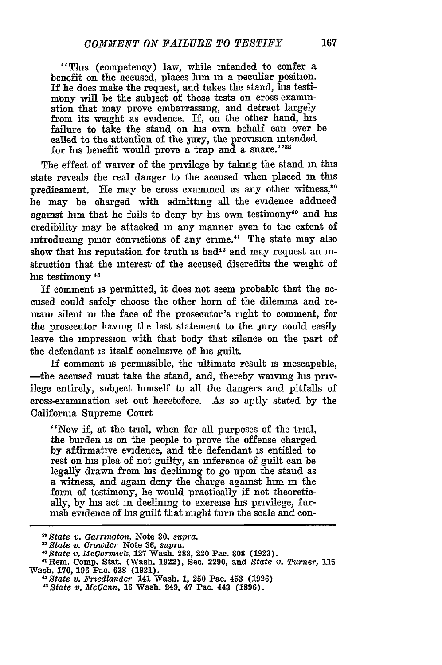"This (competency) law, while intended to confer a benefit on the accused, places him **in** a peculiar position. If he does make the request, and takes the stand, his testimony will be the subject of those tests on cross-examination that may prove embarrassing, and detract largely from its weight as evidence. If, on the other hand, his failure to take the stand on his own behalf can ever be called to the attention of the jury, the provision intended for his benefit would prove a trap and a snare."<sup>38</sup>

The effect of waiver of the privilege **by** taking the stand **in** this state reveals the real danger to the accused when placed in this predicament. He may be cross examined as any other witness,<sup>39</sup> he may be charged with admitting all the evidence adduced against him that he fails to deny by his own testimony<sup>40</sup> and his credibility may be attacked **in** any manner even to the extent of introducing prior convictions of any crime. $41$  The state may also show that his reputation for truth is bad<sup>42</sup> and may request an instruction that the interest of the accused discredits the weight of his testimony<sup>43</sup>

If comment is permitted, it does not seem probable that the accused could safely choose the other horn of the dilemma and remain silent in the face of the prosecutor's right to comment, for the prosecutor having the last statement to the jury could easily leave the impression with that body that silence on the part of the defendant is itself conclusive of his guilt.

If comment is permissible, the ultimate result is inescapable, -the accused must take the stand, and, thereby waiving his privilege entirely, subject himself to all the dangers and pitfalls of cross-examination set out heretofore. As so aptly stated **by** the California Supreme Court

"Now if, at the trial, when for all purposes of the trial, the burden is on the people to prove the offense charged **by** affirmative evidence, and the defendant is entitled to rest on his plea of not guilty, an inference of guilt can be legally drawn from his declining to go upon the stand as a witness, and **again** deny the charge against him in the form of testimony, he would practically if not theoretically, **by** his act **in** declining to exercise his privilege, furnish evidence of his guilt that might turn the scale and con-

*State v. Garrngton,* Note **30,** *supra. "State v. Crowder* **Note 36,** *supra.*

*<sup>,0</sup> State v. McCormick,* **127 Wash. 288,** 220 **Pac. 808 (1923). "Rem. Comp. Stat. (Wash. 1922), Sec. 2290, and** *State V. Turner,* **115 Wash. 170, 196 Pac. 638 (1921).** *"State v. Fredlander* **141 Wash. 1, 250 Pac. 453 (1926)** *"State v. McCann,* **16 Wash. 249, 47 Pac. 443 (1896).**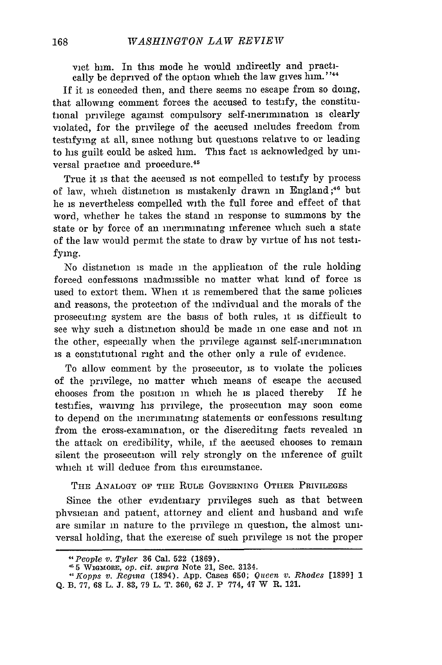vict him. In this mode he would indirectly and practically be deprived of the option which the law gives him. **"44**

If it is conceded then, and there seems no escape from so doing, that allowing comment forces the accused to testify, the constitutional privilege against compulsory self-incrimination is clearly violated, for the privilege of the accused includes freedom from testifying at all, since nothing but questions relative to or leading to his guilt could be asked him. This fact is acknowledged by universal practice and procedure.<sup>45</sup>

True it is that the accused is not compelled to testify by process of law, which distinction is mistakenly drawn in England **;46** but he is nevertheless compelled with the full force and effect of that word, whether he takes the stand in response to summons by the state or by force of an incriminating inference which such a state of the law would permit the state to draw by virtue of his not testifying.

No distinction is made in the application of the rule holding forced confessions inadmissible no matter what kind of force is used to extort them. When it is remembered that the same policies and reasons, the protection of the individual and the morals of the prosecuting system are the basis of both rules, it is difficult to see why such a distinction should be made in one case and not in the other, especially when the privilege against self-incrimination is a constitutional right and the other only a rule of evidence.

To allow comment by the prosecutor, is to violate the policies of the privilege, no matter which means of escape the accused chooses from the position in which he is placed thereby If he testifies, waiving his privilege, the prosecution may soon come to depend on the incriminating statements or confessions resulting from the cross-examination, or the discrediting facts revealed in the attack on credibility, while, **if** the accused chooses to remain silent the prosecution will rely strongly on the inference of guilt which it will deduce from this circumstance.

THE **ANALOGY** OF THE RULE **GOVERNING OTHER** PRIVILEGES

Since the other evidentiary privileges such as that between phvsician and patient, attorney and client and husband and wife are similar in nature to the privilege in question, the almost universal holding, that the exercise of such privilege is not the proper

*<sup>44</sup>People v. Tyler* **36** Cal. 522 **(1869).**

**<sup>15 5</sup>** WVIGMORE, *op. cit. supra* Note 21, Sec. 3134.

*<sup>41</sup>Kopps v. Regia* (1894). **App.** Cases **650;** *Queen v. Rhodes* **[1899] 1** Q. B. **77, 68** L. **J. 83, 79** L. T. **360, 62 J. P 774,** 47 W R. 121.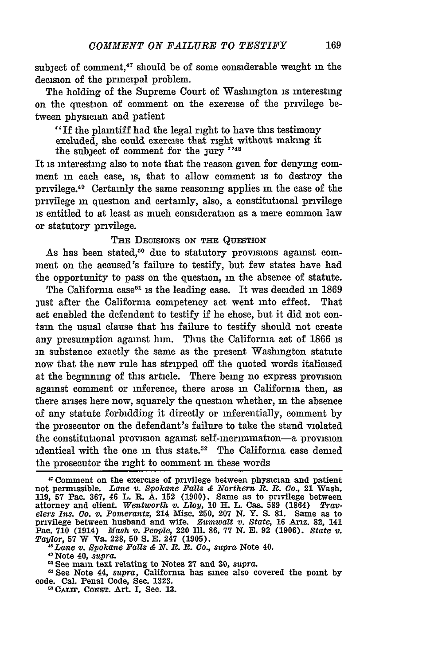subject of comment,<sup>47</sup> should be of some considerable weight in the decision of the principal problem.

The holding of the Supreme Court of Washington is interesting on the question of comment on the exercise of the privilege between physician and patient

"If the plaintiff had the legal right to have this testimony excluded, she could exercise that right without making it the subject of comment for the jury  $\cdot$ <sup>148</sup>

It is interesting also to note that the reason given for denying comment **in** each case, is, that to allow comment is to destroy the privilege.49 Certainly the same reasoning applies **in** the case of the privilege in question and certainly, also, a constitutional privilege is entitled to at least as much consideration as a mere common law or statutory privilege.

#### THE DECISIONS ON THE QUESTION

As has been stated,<sup>50</sup> due to statutory provisions against comment on the accused's failure to testify, but few states have had the opportunity to pass on the question, in the absence of statute.

The California case<sup>51</sup> is the leading case. It was decided in 1869 just after the California competency act went into effect. That act enabled the defendant to testify if he chose, but it did not contam the usual clause that his failure to testify should not create any presumption against him. Thus the California act of **1866** is in substance exactly the same as the present Washington statute now that the new rule has stripped off the quoted words italicised at the beginning of this article. There being no express provision against comment or inference, there arose in California then, as there arises here now, squarely the question whether, in the absence of any statute forbidding it directly or inferentially, comment **by** the prosecutor on the defendant's failure to take the stand violated the constitutional provision against self-incrimination-a provision identical with the one in this state.<sup>52</sup> The California case denied the prosecutor the right to comment in these words

*"Lane v. Spokane Falls & N. R. R. Co., supra* Note 40.

**5** See Note 44, *supra,* California has since also covered the point **by** code. Cal. Penal Code, Sec. 1323.

<sup>13</sup> CALIF. CONST. Art. I, Sec. 13.

<sup>&#</sup>x27; T Comment on the exercise of privilege between physician and patient not permissible. *Lane v. Spokane Falls & Northern R?. B. Go.,* **21 Wash.** 119, 57 Pac. 367, 46 L. R. A. 152 (1900). Same as to privilege between<br>attorney and client. Wentworth v. Lloy, 10 H. L. Cas. 589 (1864) Trav-<br>elers Ins. Co. v. Pomerantz, 214 Misc. 250, 207 N. Y. S. 81. Same as to<br>privile Pac. **710** (1914) *Mash v. People,* 220 Ill. **86,** 77 **N.** E. 92 **(1906).** *State v. Taylor,* **57** W Va. 228, **50 S. E.** 247 **(1905).**

<sup>&</sup>quot;Note 40, *supra.*

**<sup>1</sup>** See main text relating to Notes 27 and 30, *supra.*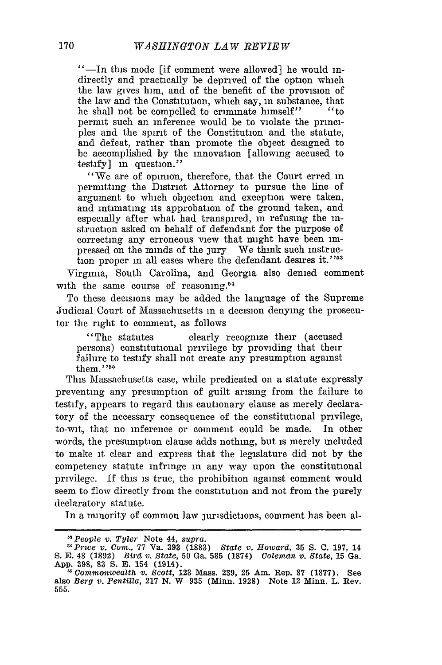"-In this mode [if comment were allowed] he would indirectly and practically be deprived of the option which the law gives him, and of the benefit of the provision of the law and the Constitution, which say, in substance, that he shall not be compelled to criminate himself" "to permit such an inference would be to violate the principles and the spirit of the Constitution and the statute, and defeat, rather than promote the object designed to be accomplished by the innovation [allowing accused to testify] in question."

"We are of opinion, therefore, that the Court erred in permitting the District Attorney to pursue the line of argument to which objection and exception were taken, and intimating its approbation of the ground taken, and especially after what had transpired, in refusing the instruction asked on behalf of defendant for the purpose of correcting any erroneous view that might have been impressed on the minds of the jury We think such instruction proper in all cases where the defendant desires it."<sup>53</sup>

Virginia, South Carolina, and Georgia also denied comment with the same course of reasoning.<sup>54</sup>

To these decisions may be added the language of the Supreme Judicial Court of Massachusetts in a decision denying the prosecutor the right to comment, as follows

"The statutes clearly recognize their (accused persons) constitutional privilege by providing that their failure to testify shall not create any presumption against them. **"'5**

This Massachusetts case, while predicated on a statute expressly preventing any presumption of guilt arising from the failure to testify, appears to regard this cautionary clause as merely declaratory of the necessary consequence of the constitutional privilege, to-wit, that no inference or comment could be made. In other words, the presumption clause adds nothing, but is merely included to make **it** clear and express that the legislature did not by the competency statute infringe in any way upon the constitutional privilege. If this is true, the prohibition against comment would seem to flow directly from the constitution and not from the purely declaratory statute.

In a minority of common law jurisdictions, comment has been al-

*<sup>&</sup>quot;People v. Tyler* Note 44, *supra. "Price v. Com.,* 77 **Va. 393 (1883)** *State v. Howard,* **35 S. C. 197,** <sup>14</sup> S. E. 48 (1892) Bird v. State, 50 Ga. 585 (1874) Coleman v. State, 15 Ga.<br>App. 398, 83 S. E. 154 (1914).<br>App. 398, 83 S. E. 154 (1914).<br>also Berg v. Pentilla, 217 N. W 935 (Minn. 1928) Note 12 Minn. L. Rev.

**<sup>555.</sup>**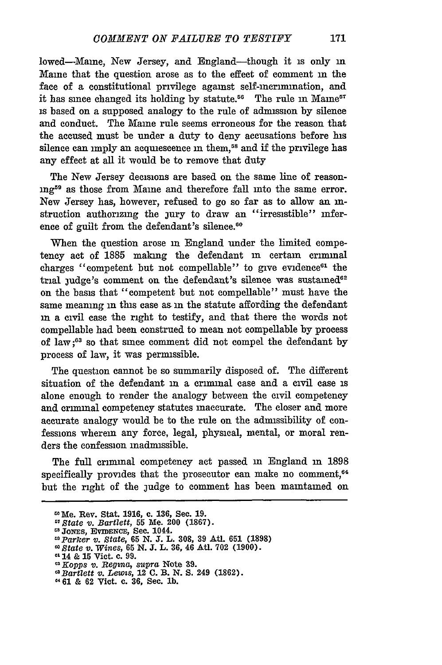lowed-Maine, New Jersey, and England-though it is only in Maine that the question arose as to the effect of comment **in** the face of a constitutional privilege against self-inerimination, and it has since changed its holding by statute.<sup>56</sup> The rule in Maine<sup>5</sup> is based on a supposed analogy to the rule of admission by silence and conduct. The Maine rule seems erroneous for the reason that the accused must be under a duty to deny accusations before his silence can imply an acquiescence in them,<sup>58</sup> and if the privilege has any effect at all it would be to remove that duty

The New Jersey decisions are based on the same line of reasonmg59 as those from Maine and therefore fall into the same error. New Jersey has, however, refused to go so far as to allow an **in**struction authorizing the jury to draw an "irresistible" inference of guilt from the defendant's silence.<sup>60</sup>

When the question arose **in** England under the limited competency act of 1885 making the defendant in certain criminal charges "competent but not compellable" to give evidence $61$  the trial judge's comment on the defendant's silence was sustained<sup>62</sup> on the basis that "competent but not compellable" must have the same meaning in this case as in the statute affording the defendant in a civil case the right to testify, and that there the words not compellable had been construed to mean not compellable by process of law **;63** so that since comment did not compel the defendant by process of law, it was pernssible.

The question cannot be so summarily disposed of. The different situation of the defendant **in** a crimnal case and a civil case is alone enough to render the analogy between the civil competency and crimnal competency statutes inaccurate. The closer and more accurate analogy would be to the rule on the admissibility of confessions wherein any force, legal, physical, mental, or moral renders the confession inadmissible.

The full criminal competency act passed **in** England in 1898 specifically provides that the prosecutor can make no comment.<sup>64</sup> but the right of the judge to comment has been maintained on

*"Bartlett v. Lew-is,* 12 **C.** B. N. S. 249 **(1862).**

afe. Rev. Stat. **1916,** c. 136, Sec. **19.**

*<sup>&</sup>quot;State v. Bartlett,* **55** Me. 200 **(1867).**

**O3JoEs, EvimScE,** Sec. 1044. *"Parker v. State,* **65 N. J.** L. **308, 39** Aft. **651 (1898)**

*<sup>0</sup>State v. Wines,* **65** N. **J.** L. **36,** 46 Atl. **702 (1900). a'** 14 & **15** Vict. **c.** 99.

*OKopps v. Regina, supra* Note **39.**

**<sup>461 &</sup>amp; 62 Vict.** c. **36,** Sec. **lb.**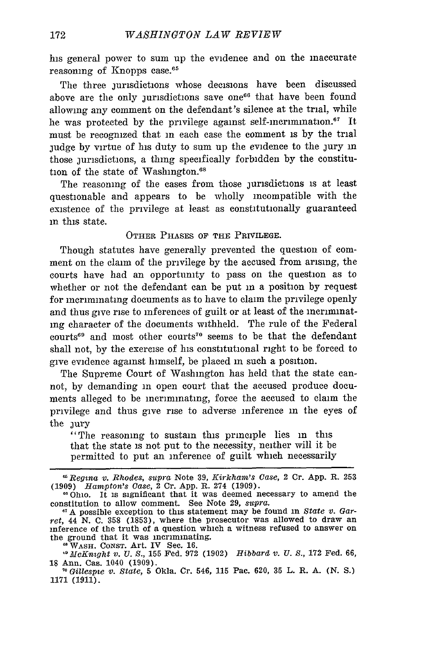his general power to sum up the evidence and on the inaccurate reasoning of Knopps case.<sup>65</sup>

The three jurisdictions whose decisions have been discussed above are the only jurisdictions save one<sup>66</sup> that have been found allowing any comment on the defendant's silence at the trial, while he was protected by the privilege against self-incrimination.<sup>67</sup> It must be recognized that in each case the comment is by the trial judge by virtue of his duty to sum up the evidence to the jury m those jurisdictions, a thing specifically forbidden by the constitution of the state of Washington.<sup>68</sup>

The reasoning of the cases from those jurisdictions is at least questionable and appears to be wholly incompatible with the existence of the privilege at least as constitutionally guaranteed **in** this state.

#### OTHER PHASES OF THE PRIVILEGE.

Though statutes have generally prevented the question of comment on the claim of the privilege by the accused from arising, the courts have had an opportunity to pass on the question as to whether or not the defendant can be put in a position by request for incriminating documents as to have to claim the privilege openly and thus give rise to inferences of guilt or at least of the incriminating character of the documents withheld. The rule of the Federal courts<sup>69</sup> and most other courts<sup>70</sup> seems to be that the defendant shall not, by the exercise of his constitutional right to be forced to give evidence against himself, be placed in such a position.

The Supreme Court of Washington has held that the state cannot, by demanding in open court that the accused produce documents alleged to be incriminating, force the accused to claim the privilege and thus give rise to adverse inference in the eyes of the jury

"The reasoning to sustain this principle lies in this that the state is not put to the necessity, neither will it be permitted to put an inference of guilt which necessarily

WASH. CONST. Art. IV Sec. 16

*Regina v. Rhodes, supra* Note 39, *Kirkham's Case,* 2 Cr. App. R. 253 **(1909)** *Hampton's Case,* 2 Cr. App. R. 274 (1909).

<sup>&</sup>quot; Ohio. It is significant that it was deemed necessary to amend the constitution to allow comment. See Note 29, *supra*.

<sup>&</sup>lt;sup>67</sup> A possible exception to this statement may be found in *State v. Garret,* 44 N. C. 358 (1853), where the prosecutor was allowed to draw an inference of the truth of a question which a witness refused to answer on the ground that it was incriminating.

*<sup>0</sup> McKnight v. U. S.,* **155** Fed. **972 (1902)** *Hibbard v. U.* **S.,** 172 Fed. **66, 18** Ann. Cas. 1040 **(1909).**

**<sup>&#</sup>x27;o** *Gillespie v. State,* **5** Okla. **Cr.** 546, **115 Pac. 620, 35 L. R. A. (N. S.) 1171 (1911).**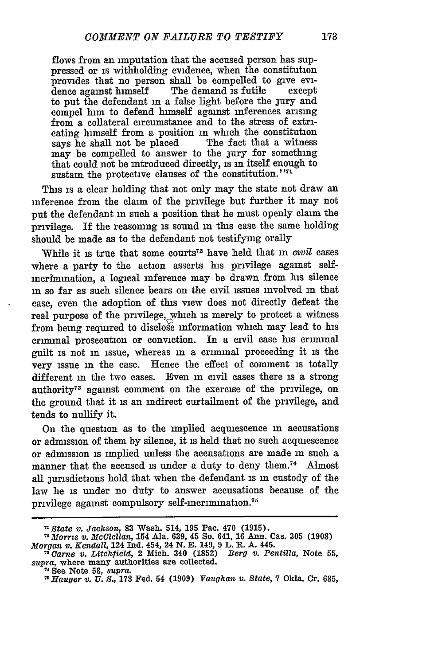flows from an imputation that the accused person has suppressed or is withholding evidence, when the constitution provides that no person shall be compelled to give evidence against himself The demand is futile to put the defendant **in** a false light before the jury and compel him to defend himself against inferences arising from a collateral circumstance and to the stress of extrieating himself from a position in which the constitution says he shall not be placed The fact that a witness says he shall not be placed may be compelled to answer to the jury for something that could not be introduced directly, is in itself enough to sustain the protective clauses of the constitution."<sup>71</sup>

This is a clear holding that not only may the state not draw an inference from the claim of the privilege but further it may not put the defendant in such a position that he must openly claim the privilege. If the reasoning is sound in this case the same holding should be made as to the defendant not testifying orally

While it is true that some courts<sup>72</sup> have held that in *civil* cases where a party to the action asserts his privilege against selfincrimination, a logical inference may be drawn from his silence in so far as such silence bears on the civil issues involved **in** that case, even the adoption of this view does not directly defeat the real purpose of the privilege, which is merely to protect a witness from being required to disclose information which may lead to his crinnal prosecution or conviction. In a **civil** case his criminal guilt is not in issue, whereas in a crminal proceeding it is the very issue in the case. Hence the effect of comment is totally different **in** the two cases. Even in civil cases there is a strong authority<sup>73</sup> against comment on the exercise of the privilege, on the ground that it is an indirect curtailment of the privilege, and tends to nullify it.

On the question as to the implied acquiescence **in** accusations or admission of them **by** silence, it is held that no such acquiescence or admission is implied unless the accusations are made in such a manner that the accused is under a duty to deny them.<sup>74</sup> Almost all jurisdictions hold that when the defendant is **in** custody of the law he is under no duty to answer accusations because of the privilege against compulsory self-incrimination.<sup>75</sup>

*<sup>&</sup>quot;State v. Jackson,* **83** Wash. 514, **195** Pac. 470 **(1915).** *7 2Morris v. McClellan,* 154 Ala. **639,** 45 So. 641, **16** Ann. Cas. **305 (1908)** *Morgan v. Kendall,* 124 **Ind.** 454, 24 **N. E.** 149, **9** L. R. **A.** 445. *Carne v. Litchlield,* 2 Mich. 340 **(1852)** *Berg V. Pentilla,* Note 55,

*supra,* where many authorities are collected.

**<sup>7&#</sup>x27;** See Note **58,** *supra.*

*<sup>&</sup>quot;Hauger* **v.** *U. S.,* **173** Fed. 54 **(1909)** *Vaughan v. State,* **7** Okla. Cr. **685,**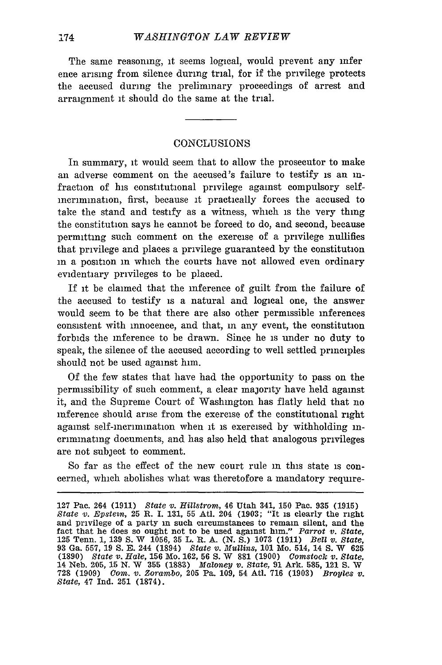The same reasoning, it seems logical, would prevent any infer ence arising from silence during trial, for if the privilege protects the accused during the preliminary proceedings of arrest and arraignment it should do the same at the trial.

#### CONCLUSIONS

In summary, it would seem that to allow the prosecutor to make an adverse comment on the accused's failure to testify is an infraction of his constitutional privilege against compulsory selfincrimination, first, because it practically forces the accused to take the stand and testify as a witness, which is the very thing the constitution says he cannot be forced to do, and second, because permitting such comment on the exercise of a privilege nullifies that privilege and places a privilege guaranteed by the constitution in a position in which the courts have not allowed even ordinary evidentiary privileges to be placed.

If it be claimed that the inference of guilt from the failure of the accused to testify is a natural and logical one, the answer would seem to be that there are also other permissible inferences consistent with innocence, and that, in any event, the constitution forbids the inference to be drawn. Since he is under no duty to speak, the silence of the accused according to well settled principles should not be used against him.

Of the few states that have had the opportunity to pass on the permissibility of such comment, a clear majority have held against it, and the Supreme Court of Washington has flatly held that no inference should arise from the exercise of the constitutional right against self-incrimination when it is exercised by withholding incriminating documents, and has also held that analogous privileges are not subject to comment.

So far as the effect of the new court rule in this state is concerned, which abolishes what was theretofore a mandatory require-

<sup>127</sup> Pac. 264 (1911) *State v. Hillstrom,* 46 Utah 341, 150 Pac. 935 (1915) *State v. Epstein,* 25 R. I. 131, 55 Atl. 204 (1903; "It is clearly the right and privilege of a party in such circumstances to remain silent, and the fact that he does so ought not to be used against him." *Parrot v. State,* **125** Tenn. 1, 139 S. W 1056, 35 L. R. A. (N. S.) 1073 (1911) *Bell v. State,* 93 Ga. 557, 19 S. E. 244 (1894) *State v. Mullins,* 101 Mo. 514, 14 S. W **625** (1890) *State v. Hale,* 156 Mo. 162, 56 S. W 881 (1900) *Comstock v. State,* 14 Neb. 205, 15 N. W 355 (1883) Maloney *v. State,* 91 Ark. 585, 121 S. W 728 (1909) *Com. v. Zorambo,* **205** Pa. 109, 54 Atl. 716 (1903) *Broyles v. State,* 47 Ind. 251 (1874).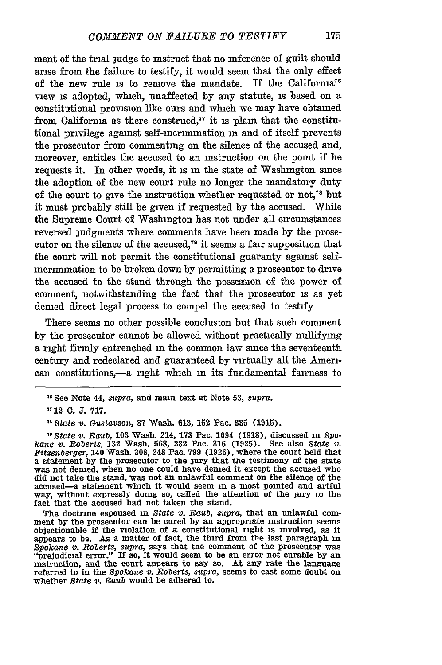ment of the trial judge to instruct that no inference of guilt should arise from the failure to testify, it would seem that the only effect of the new rule is to remove the mandate. If the Califorma<sup>76</sup> view is adopted, which, unaffected **by** any statute, is based on a constitutional provision **like** ours and which we may have obtained from California as there construed, $77$  it is plain that the constitutional privilege against self-mcrnination **in** and of itself prevents the prosecutor from commenting on the silence of the accused and, moreover, entitles the accused to an instruction on the point if he requests it. In other words, it is **in** the state of Washington since the adoption of the new court rule no longer the mandatory duty of the court to give the instruction whether requested or not,<sup>78</sup> but it must probably still be given if requested **by** the accused. While the Supreme Court of Washington has not under all circumstances reversed judgments where comments have been made **by** the prosecutor on the silence of the accused,<sup>79</sup> it seems a fair supposition that the court will not permit the constitutional guaranty against self**merinination** to be broken down **by** permitting a prosecutor to drive the accused to the stand through the possession of the power of comment, notwithstanding the fact that the prosecutor is as yet denied direct legal process to compel the accused to testify

There seems no other possible conclusion but that such comment **by** the prosecutor cannot be allowed without practically nullifying a right firmly entrenched in the common law since the seventeenth century and redeclared and guaranteed **by** virtually all the American constitutions,-a right which in its fundamental fairness to

The doctrine espoused in State v. Raub, supra, that an unlawful com-<br>ment by the prosecutor can be cured by an appropriate instruction seems<br>objectionable if the violation of a constitutional right is involved, as it appears to be. As a matter of fact, the third from the last paragraph in Spokane v. Roberts, supra, says that the comment of the prosecutor was<br>"prejudicial error." If so, it would seem to be an error not curable by an<br>instruction, and the court appears to say so. At any rate the language referred to in the *Spokane v. Roberts, supra,* seems to cast some doubt on whether *State v. Raub* would be adhered to.

**<sup>,&</sup>quot;** See Note 44, *supra,* and main text at Note **53,** *supra.*

**<sup>&</sup>quot;** 12 **C. J. 717.**

*<sup>&</sup>quot;State v. G(ustavson,* **87** Wash. **613,** 152 Pac. **335 (1915).**

*<sup>10</sup>State v. Raub,* **103** Wash. 214, **173** Pac. 1094 **(1918),** discussed in *Spo*kane v. Roberts, 132 Wash. 568, 232 Pac. 316 (1925). See also State v. Fitzenberger, 140 Wash. 308, 248 Pac. 799 (1926), where the court held that a statement by the prosecutor to the jury that the testimony of the state did not take the stand, was not an unlawful comment on the silence of the accused-a statement which it would seem **in** a most pointed and artful way, without expressly doing so, called the attention of the jury to the fact that the accused had not taken the stand.